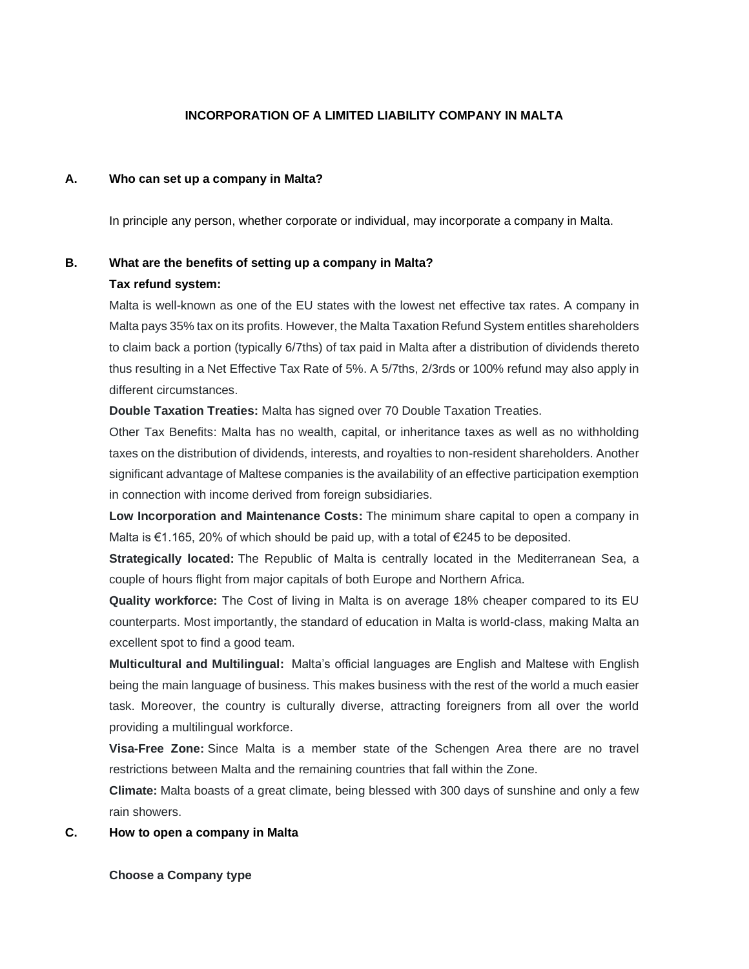## **INCORPORATION OF A LIMITED LIABILITY COMPANY IN MALTA**

### **A. Who can set up a company in Malta?**

In principle any person, whether corporate or individual, may incorporate a company in Malta.

# **B. What are the benefits of setting up a company in Malta?**

### **Tax refund system:**

Malta is well-known as one of the EU states with the lowest net effective tax rates. A company in Malta pays 35% tax on its profits. However, the Malta Taxation Refund System entitles shareholders to claim back a portion (typically 6/7ths) of tax paid in Malta after a distribution of dividends thereto thus resulting in a Net Effective Tax Rate of 5%. A 5/7ths, 2/3rds or 100% refund may also apply in different circumstances.

**Double Taxation Treaties:** Malta has signed over 70 Double Taxation Treaties.

Other Tax Benefits: Malta has no wealth, capital, or inheritance taxes as well as no withholding taxes on the distribution of dividends, interests, and royalties to non-resident shareholders. Another significant advantage of Maltese companies is the availability of an effective participation exemption in connection with income derived from foreign subsidiaries.

**Low Incorporation and Maintenance Costs:** The minimum share capital to open a company in Malta is €1.165, 20% of which should be paid up, with a total of €245 to be deposited.

**Strategically located:** The Republic of Malta is centrally located in the Mediterranean Sea, a couple of hours flight from major capitals of both Europe and Northern Africa.

**Quality workforce:** The Cost of living in Malta is on average 18% cheaper compared to its EU counterparts. Most importantly, the standard of education in Malta is world-class, making Malta an excellent spot to find a good team.

**Multicultural and Multilingual:** Malta's official languages are English and Maltese with English being the main language of business. This makes business with the rest of the world a much easier task. Moreover, the country is culturally diverse, attracting foreigners from all over the world providing a multilingual workforce.

**Visa-Free Zone:** Since Malta is a member state of the Schengen Area there are no travel restrictions between Malta and the remaining countries that fall within the Zone.

**Climate:** Malta boasts of a great climate, being blessed with 300 days of sunshine and only a few rain showers.

### **C. How to open a company in Malta**

#### **Choose a Company type**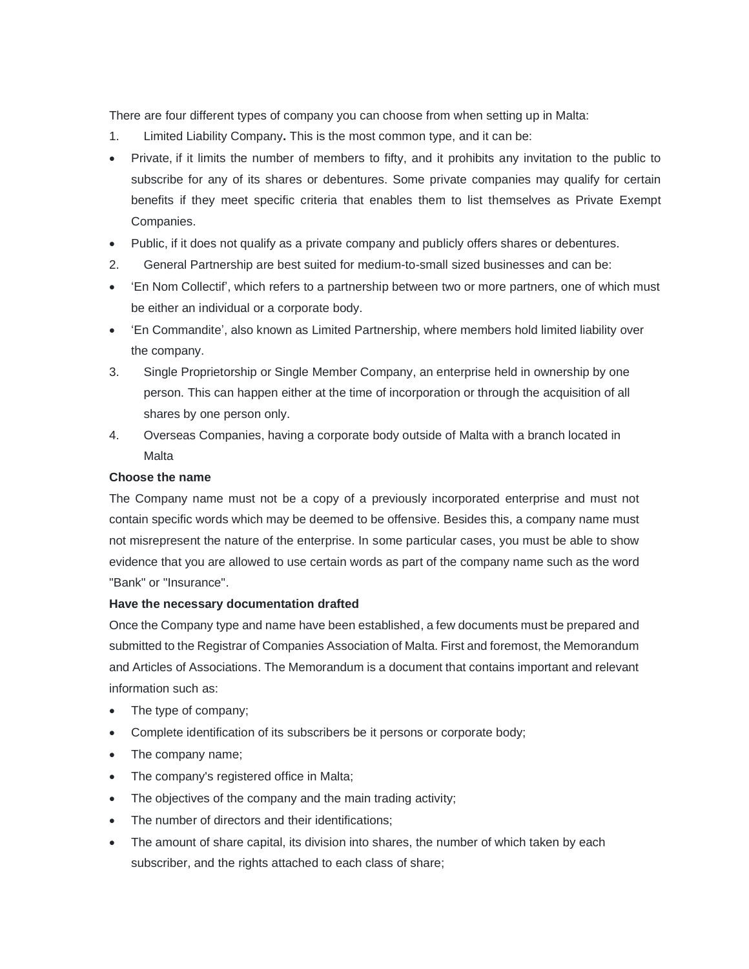There are four different types of company you can choose from when setting up in Malta:

- 1. Limited Liability Company**.** This is the most common type, and it can be:
- Private, if it limits the number of members to fifty, and it prohibits any invitation to the public to subscribe for any of its shares or debentures. Some private companies may qualify for certain benefits if they meet specific criteria that enables them to list themselves as Private Exempt Companies.
- Public, if it does not qualify as a private company and publicly offers shares or debentures.
- 2. General Partnership are best suited for medium-to-small sized businesses and can be:
- 'En Nom Collectif', which refers to a partnership between two or more partners, one of which must be either an individual or a corporate body.
- 'En Commandite', also known as Limited Partnership, where members hold limited liability over the company.
- 3. Single Proprietorship or Single Member Company, an enterprise held in ownership by one person. This can happen either at the time of incorporation or through the acquisition of all shares by one person only.
- 4. Overseas Companies, having a corporate body outside of Malta with a branch located in Malta

# **Choose the name**

The Company name must not be a copy of a previously incorporated enterprise and must not contain specific words which may be deemed to be offensive. Besides this, a company name must not misrepresent the nature of the enterprise. In some particular cases, you must be able to show evidence that you are allowed to use certain words as part of the company name such as the word "Bank" or "Insurance".

### **Have the necessary documentation drafted**

Once the Company type and name have been established, a few documents must be prepared and submitted to the Registrar of Companies Association of Malta. First and foremost, the Memorandum and Articles of Associations. The Memorandum is a document that contains important and relevant information such as:

- The type of company;
- Complete identification of its subscribers be it persons or corporate body;
- The company name;
- The company's registered office in Malta;
- The objectives of the company and the main trading activity;
- The number of directors and their identifications;
- The amount of share capital, its division into shares, the number of which taken by each subscriber, and the rights attached to each class of share;